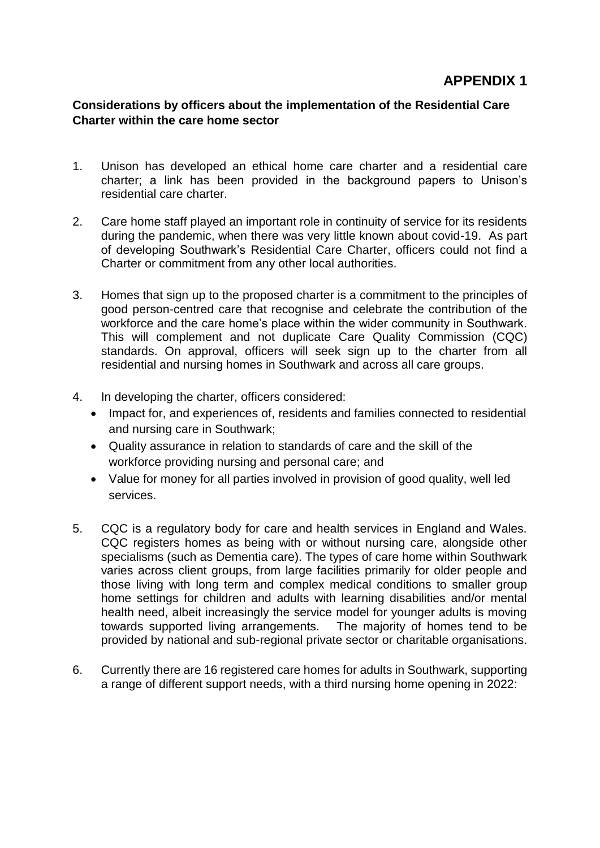## **Considerations by officers about the implementation of the Residential Care Charter within the care home sector**

- 1. Unison has developed an ethical home care charter and a residential care charter; a link has been provided in the background papers to Unison's residential care charter.
- 2. Care home staff played an important role in continuity of service for its residents during the pandemic, when there was very little known about covid-19. As part of developing Southwark's Residential Care Charter, officers could not find a Charter or commitment from any other local authorities.
- 3. Homes that sign up to the proposed charter is a commitment to the principles of good person-centred care that recognise and celebrate the contribution of the workforce and the care home's place within the wider community in Southwark. This will complement and not duplicate Care Quality Commission (CQC) standards. On approval, officers will seek sign up to the charter from all residential and nursing homes in Southwark and across all care groups.
- 4. In developing the charter, officers considered:
	- Impact for, and experiences of, residents and families connected to residential and nursing care in Southwark;
	- Quality assurance in relation to standards of care and the skill of the workforce providing nursing and personal care; and
	- Value for money for all parties involved in provision of good quality, well led services.
- 5. CQC is a regulatory body for care and health services in England and Wales. CQC registers homes as being with or without nursing care, alongside other specialisms (such as Dementia care). The types of care home within Southwark varies across client groups, from large facilities primarily for older people and those living with long term and complex medical conditions to smaller group home settings for children and adults with learning disabilities and/or mental health need, albeit increasingly the service model for younger adults is moving towards supported living arrangements. The majority of homes tend to be provided by national and sub-regional private sector or charitable organisations.
- 6. Currently there are 16 registered care homes for adults in Southwark, supporting a range of different support needs, with a third nursing home opening in 2022: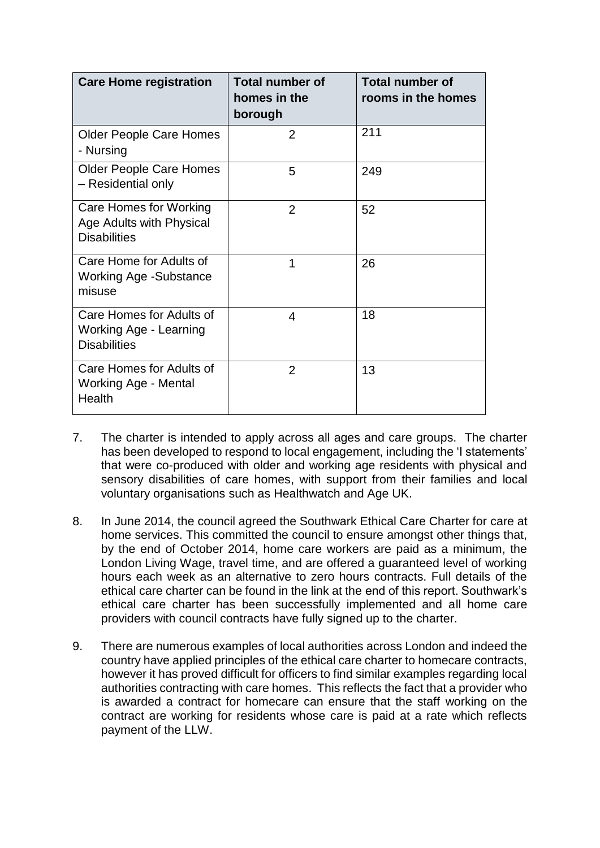| <b>Care Home registration</b>                                             | <b>Total number of</b><br>homes in the<br>borough | <b>Total number of</b><br>rooms in the homes |
|---------------------------------------------------------------------------|---------------------------------------------------|----------------------------------------------|
| <b>Older People Care Homes</b><br>- Nursing                               | $\overline{2}$                                    | 211                                          |
| <b>Older People Care Homes</b><br>- Residential only                      | 5                                                 | 249                                          |
| Care Homes for Working<br>Age Adults with Physical<br><b>Disabilities</b> | $\overline{2}$                                    | 52                                           |
| Care Home for Adults of<br><b>Working Age -Substance</b><br>misuse        | 1                                                 | 26                                           |
| Care Homes for Adults of<br>Working Age - Learning<br><b>Disabilities</b> | 4                                                 | 18                                           |
| Care Homes for Adults of<br>Working Age - Mental<br>Health                | 2                                                 | 13                                           |

- 7. The charter is intended to apply across all ages and care groups. The charter has been developed to respond to local engagement, including the 'I statements' that were co-produced with older and working age residents with physical and sensory disabilities of care homes, with support from their families and local voluntary organisations such as Healthwatch and Age UK.
- 8. In June 2014, the council agreed the Southwark Ethical Care Charter for care at home services. This committed the council to ensure amongst other things that, by the end of October 2014, home care workers are paid as a minimum, the London Living Wage, travel time, and are offered a guaranteed level of working hours each week as an alternative to zero hours contracts. Full details of the ethical care charter can be found in the link at the end of this report. Southwark's ethical care charter has been successfully implemented and all home care providers with council contracts have fully signed up to the charter.
- 9. There are numerous examples of local authorities across London and indeed the country have applied principles of the ethical care charter to homecare contracts, however it has proved difficult for officers to find similar examples regarding local authorities contracting with care homes. This reflects the fact that a provider who is awarded a contract for homecare can ensure that the staff working on the contract are working for residents whose care is paid at a rate which reflects payment of the LLW.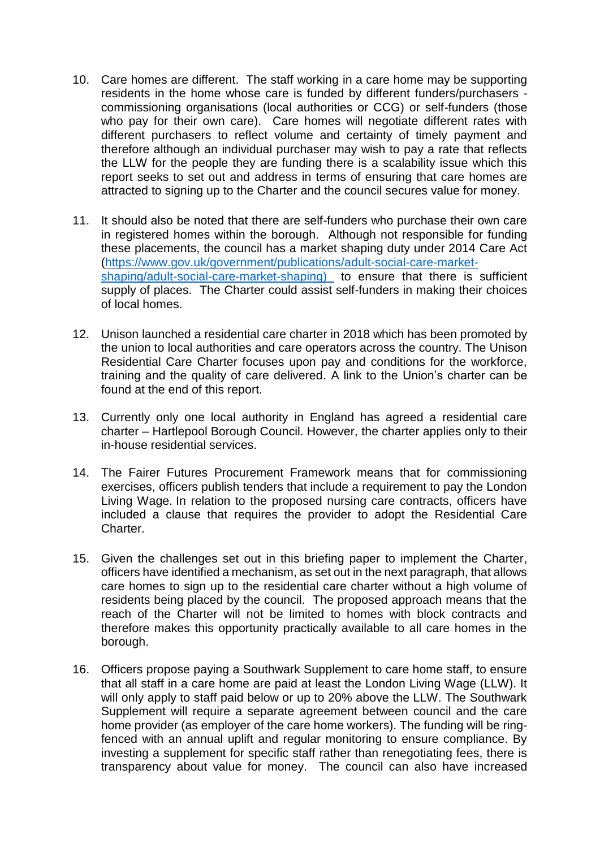- 10. Care homes are different. The staff working in a care home may be supporting residents in the home whose care is funded by different funders/purchasers commissioning organisations (local authorities or CCG) or self-funders (those who pay for their own care). Care homes will negotiate different rates with different purchasers to reflect volume and certainty of timely payment and therefore although an individual purchaser may wish to pay a rate that reflects the LLW for the people they are funding there is a scalability issue which this report seeks to set out and address in terms of ensuring that care homes are attracted to signing up to the Charter and the council secures value for money.
- 11. It should also be noted that there are self-funders who purchase their own care in registered homes within the borough. Although not responsible for funding these placements, the council has a market shaping duty under 2014 Care Act [\(https://www.gov.uk/government/publications/adult-social-care-market](https://www.gov.uk/government/publications/adult-social-care-market-shaping/adult-social-care-market-shaping)[shaping/adult-social-care-market-shaping\)](https://www.gov.uk/government/publications/adult-social-care-market-shaping/adult-social-care-market-shaping) to ensure that there is sufficient supply of places. The Charter could assist self-funders in making their choices of local homes.
- 12. Unison launched a residential care charter in 2018 which has been promoted by the union to local authorities and care operators across the country. The Unison Residential Care Charter focuses upon pay and conditions for the workforce, training and the quality of care delivered. A link to the Union's charter can be found at the end of this report.
- 13. Currently only one local authority in England has agreed a residential care charter – Hartlepool Borough Council. However, the charter applies only to their in-house residential services.
- 14. The Fairer Futures Procurement Framework means that for commissioning exercises, officers publish tenders that include a requirement to pay the London Living Wage. In relation to the proposed nursing care contracts, officers have included a clause that requires the provider to adopt the Residential Care Charter.
- 15. Given the challenges set out in this briefing paper to implement the Charter, officers have identified a mechanism, as set out in the next paragraph, that allows care homes to sign up to the residential care charter without a high volume of residents being placed by the council. The proposed approach means that the reach of the Charter will not be limited to homes with block contracts and therefore makes this opportunity practically available to all care homes in the borough.
- 16. Officers propose paying a Southwark Supplement to care home staff, to ensure that all staff in a care home are paid at least the London Living Wage (LLW). It will only apply to staff paid below or up to 20% above the LLW. The Southwark Supplement will require a separate agreement between council and the care home provider (as employer of the care home workers). The funding will be ringfenced with an annual uplift and regular monitoring to ensure compliance. By investing a supplement for specific staff rather than renegotiating fees, there is transparency about value for money. The council can also have increased